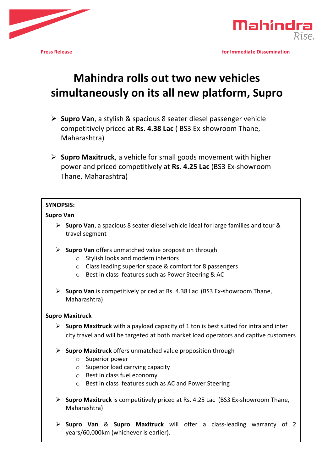



**Press Release** *n n n <b>n n n n n n n n n n n n n n n n n n n n n n n n n n n n n n n*

# **Mahindra rolls out two new vehicles** simultaneously on its all new platform, Supro

- **≻** Supro Van, a stylish & spacious 8 seater diesel passenger vehicle competitively priced at Rs. 4.38 Lac (BS3 Ex-showroom Thane, Maharashtra)
- $\triangleright$  **Supro Maxitruck**, a vehicle for small goods movement with higher power and priced competitively at Rs. 4.25 Lac (BS3 Ex-showroom Thane, Maharashtra)

## **SYNOPSIS:**

#### **Supro Van**

- **►** Supro Van, a spacious 8 seater diesel vehicle ideal for large families and tour & travel segment
- **►** Supro Van offers unmatched value proposition through
	- $\circ$  Stylish looks and modern interiors
	- $\circ$  Class leading superior space & comfort for 8 passengers
	- $\circ$  Best in class features such as Power Steering & AC
- **►** Supro Van is competitively priced at Rs. 4.38 Lac (BS3 Ex-showroom Thane, Maharashtra)

## **Supro Maxitruck**

- $\triangleright$  **Supro Maxitruck** with a payload capacity of 1 ton is best suited for intra and inter city travel and will be targeted at both market load operators and captive customers
- $\triangleright$  **Supro Maxitruck** offers unmatched value proposition through
	- $\circ$  Superior power
	- $\circ$  Superior load carrying capacity
	- $\circ$  Best in class fuel economy
	- $\circ$  Best in class features such as AC and Power Steering
- **►** Supro Maxitruck is competitively priced at Rs. 4.25 Lac (BS3 Ex-showroom Thane, Maharashtra)
- Ø **Supro Van** & **Supro Maxitruck** will offer a class-leading warranty of 2 years/60,000km (whichever is earlier).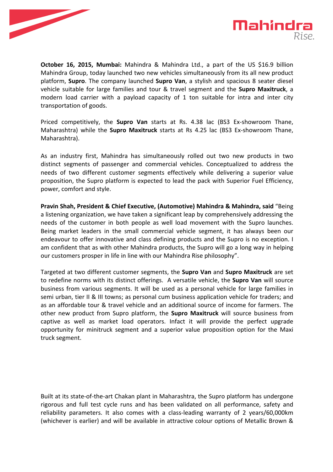



**October 16, 2015, Mumbai:** Mahindra & Mahindra Ltd., a part of the US \$16.9 billion Mahindra Group, today launched two new vehicles simultaneously from its all new product platform, **Supro**. The company launched **Supro Van**, a stylish and spacious 8 seater diesel vehicle suitable for large families and tour & travel segment and the **Supro Maxitruck**, a modern load carrier with a payload capacity of 1 ton suitable for intra and inter city transportation of goods.

Priced competitively, the **Supro Van** starts at Rs. 4.38 lac (BS3 Ex-showroom Thane, Maharashtra) while the **Supro Maxitruck** starts at Rs 4.25 lac (BS3 Ex-showroom Thane, Maharashtra). 

As an industry first, Mahindra has simultaneously rolled out two new products in two distinct segments of passenger and commercial vehicles. Conceptualized to address the needs of two different customer segments effectively while delivering a superior value proposition, the Supro platform is expected to lead the pack with Superior Fuel Efficiency, power, comfort and style.

**Pravin Shah, President & Chief Executive, (Automotive) Mahindra & Mahindra, said "Being** a listening organization, we have taken a significant leap by comprehensively addressing the needs of the customer in both people as well load movement with the Supro launches. Being market leaders in the small commercial vehicle segment, it has always been our endeavour to offer innovative and class defining products and the Supro is no exception. I am confident that as with other Mahindra products, the Supro will go a long way in helping our customers prosper in life in line with our Mahindra Rise philosophy".

Targeted at two different customer segments, the **Supro Van** and **Supro Maxitruck** are set to redefine norms with its distinct offerings. A versatile vehicle, the **Supro Van** will source business from various segments. It will be used as a personal vehicle for large families in semi urban, tier II & III towns; as personal cum business application vehicle for traders; and as an affordable tour & travel vehicle and an additional source of income for farmers. The other new product from Supro platform, the **Supro Maxitruck** will source business from captive as well as market load operators. Infact it will provide the perfect upgrade opportunity for minitruck segment and a superior value proposition option for the Maxi truck segment.

Built at its state-of-the-art Chakan plant in Maharashtra, the Supro platform has undergone rigorous and full test cycle runs and has been validated on all performance, safety and reliability parameters. It also comes with a class-leading warranty of 2 years/60,000km (whichever is earlier) and will be available in attractive colour options of Metallic Brown &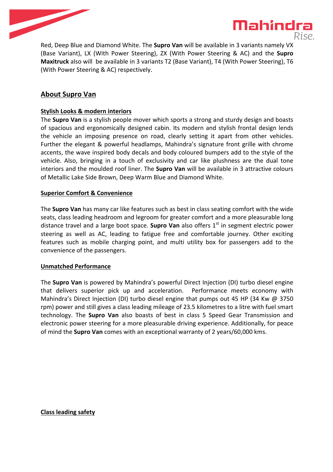



Red, Deep Blue and Diamond White. The **Supro Van** will be available in 3 variants namely VX (Base Variant), LX (With Power Steering), ZX (With Power Steering & AC) and the **Supro Maxitruck** also will be available in 3 variants T2 (Base Variant), T4 (With Power Steering), T6 (With Power Steering & AC) respectively.

## **About Supro Van**

## **Stylish Looks & modern interiors**

The **Supro Van** is a stylish people mover which sports a strong and sturdy design and boasts of spacious and ergonomically designed cabin. Its modern and stylish frontal design lends the vehicle an imposing presence on road, clearly setting it apart from other vehicles. Further the elegant & powerful headlamps, Mahindra's signature front grille with chrome accents, the wave inspired body decals and body coloured bumpers add to the style of the vehicle. Also, bringing in a touch of exclusivity and car like plushness are the dual tone interiors and the moulded roof liner. The **Supro Van** will be available in 3 attractive colours of Metallic Lake Side Brown, Deep Warm Blue and Diamond White.

## **Superior Comfort & Convenience**

The **Supro Van** has many car like features such as best in class seating comfort with the wide seats, class leading headroom and legroom for greater comfort and a more pleasurable long distance travel and a large boot space. **Supro Van** also offers 1<sup>st</sup> in segment electric power steering as well as AC, leading to fatigue free and comfortable journey. Other exciting features such as mobile charging point, and multi utility box for passengers add to the convenience of the passengers.

## **Unmatched Performance**

The **Supro Van** is powered by Mahindra's powerful Direct Injection (DI) turbo diesel engine that delivers superior pick up and acceleration. Performance meets economy with Mahindra's Direct Injection (DI) turbo diesel engine that pumps out 45 HP (34 Kw  $\omega$  3750 rpm) power and still gives a class leading mileage of 23.5 kilometres to a litre with fuel smart technology. The **Supro Van** also boasts of best in class 5 Speed Gear Transmission and electronic power steering for a more pleasurable driving experience. Additionally, for peace of mind the **Supro Van** comes with an exceptional warranty of 2 years/60,000 kms.

## **Class leading safety**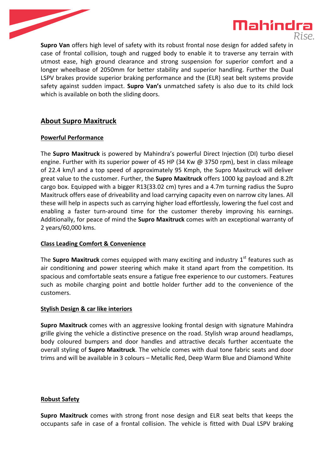



**Supro Van** offers high level of safety with its robust frontal nose design for added safety in case of frontal collision, tough and rugged body to enable it to traverse any terrain with utmost ease, high ground clearance and strong suspension for superior comfort and a longer wheelbase of 2050mm for better stability and superior handling. Further the Dual LSPV brakes provide superior braking performance and the (ELR) seat belt systems provide safety against sudden impact. **Supro Van's** unmatched safety is also due to its child lock which is available on both the sliding doors.

## **About Supro Maxitruck**

## **Powerful Performance**

The **Supro Maxitruck** is powered by Mahindra's powerful Direct Injection (DI) turbo diesel engine. Further with its superior power of 45 HP (34 Kw  $\omega$  3750 rpm), best in class mileage of 22.4 km/l and a top speed of approximately 95 Kmph, the Supro Maxitruck will deliver great value to the customer. Further, the **Supro Maxitruck** offers 1000 kg payload and 8.2ft cargo box. Equipped with a bigger R13(33.02 cm) tyres and a 4.7m turning radius the Supro Maxitruck offers ease of driveability and load carrying capacity even on narrow city lanes. All these will help in aspects such as carrying higher load effortlessly, lowering the fuel cost and enabling a faster turn-around time for the customer thereby improving his earnings. Additionally, for peace of mind the **Supro Maxitruck** comes with an exceptional warranty of 2 years/60,000 kms. 

## **Class Leading Comfort & Convenience**

The **Supro Maxitruck** comes equipped with many exciting and industry  $1<sup>st</sup>$  features such as air conditioning and power steering which make it stand apart from the competition. Its spacious and comfortable seats ensure a fatigue free experience to our customers. Features such as mobile charging point and bottle holder further add to the convenience of the customers.

## **Stylish Design & car like interiors**

**Supro Maxitruck** comes with an aggressive looking frontal design with signature Mahindra grille giving the vehicle a distinctive presence on the road. Stylish wrap around headlamps, body coloured bumpers and door handles and attractive decals further accentuate the overall styling of **Supro Maxitruck**. The vehicle comes with dual tone fabric seats and door trims and will be available in 3 colours - Metallic Red, Deep Warm Blue and Diamond White

## **Robust Safety**

**Supro Maxitruck** comes with strong front nose design and ELR seat belts that keeps the occupants safe in case of a frontal collision. The vehicle is fitted with Dual LSPV braking